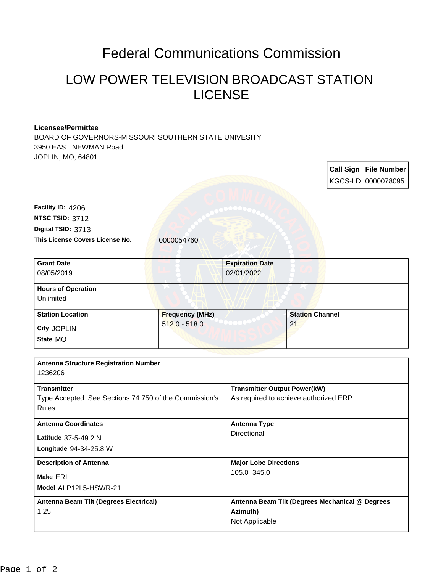## Federal Communications Commission

## LOW POWER TELEVISION BROADCAST STATION LICENSE

## **Licensee/Permittee**

BOARD OF GOVERNORS-MISSOURI SOUTHERN STATE UNIVESITY 3950 EAST NEWMAN Road JOPLIN, MO, 64801

**Call Sign File Number** KGCS-LD 0000078095 This License Covers License No. **0000054760 Digital TSID:** 3713 **NTSC TSID:** 3712 **Facility ID:** 4206 **Model** ALP12L5-HSWR-21 **Make** ERI **Longitude** 94-34-25.8 W **Latitude** 37-5-49.2 N **State** MO **City** JOPLIN **Grant Date** 08/05/2019 **Expiration Date** 02/01/2022 **Hours of Operation Unlimited Station Location Frequency (MHz)** 512.0 - 518.0 **Station Channel** 21 **Antenna Structure Registration Number** 1236206 **Transmitter** Type Accepted. See Sections 74.750 of the Commission's Rules. **Transmitter Output Power(kW)** As required to achieve authorized ERP. **Antenna Coordinates Antenna Type Directional Description of Antenna Major Lobe Directions** 105.0 345.0 **Antenna Beam Tilt (Degrees Electrical)** 1.25 **Antenna Beam Tilt (Degrees Mechanical @ Degrees Azimuth)** Not Applicable